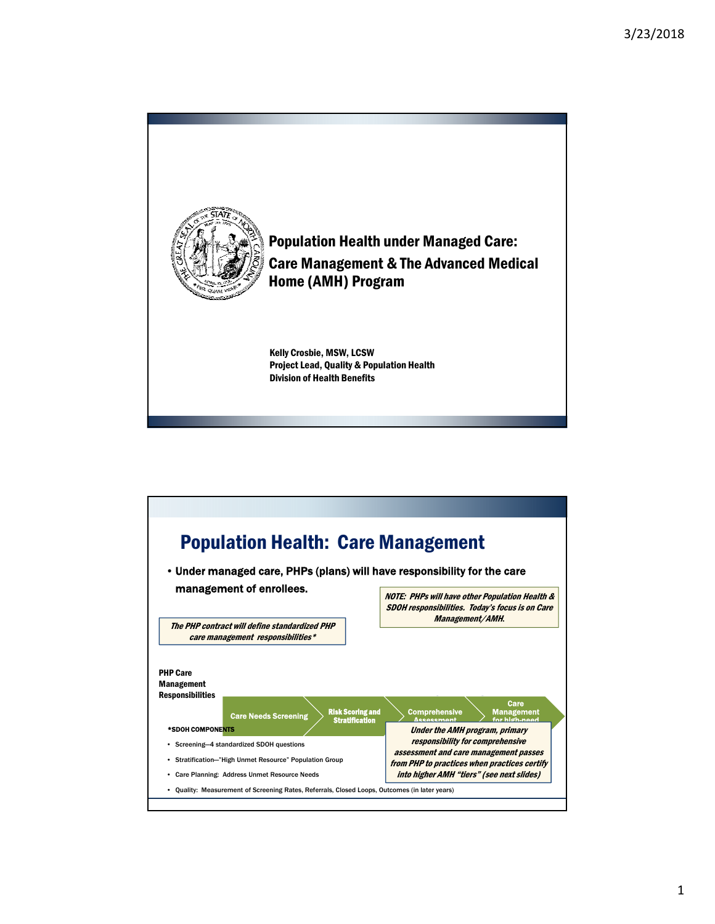

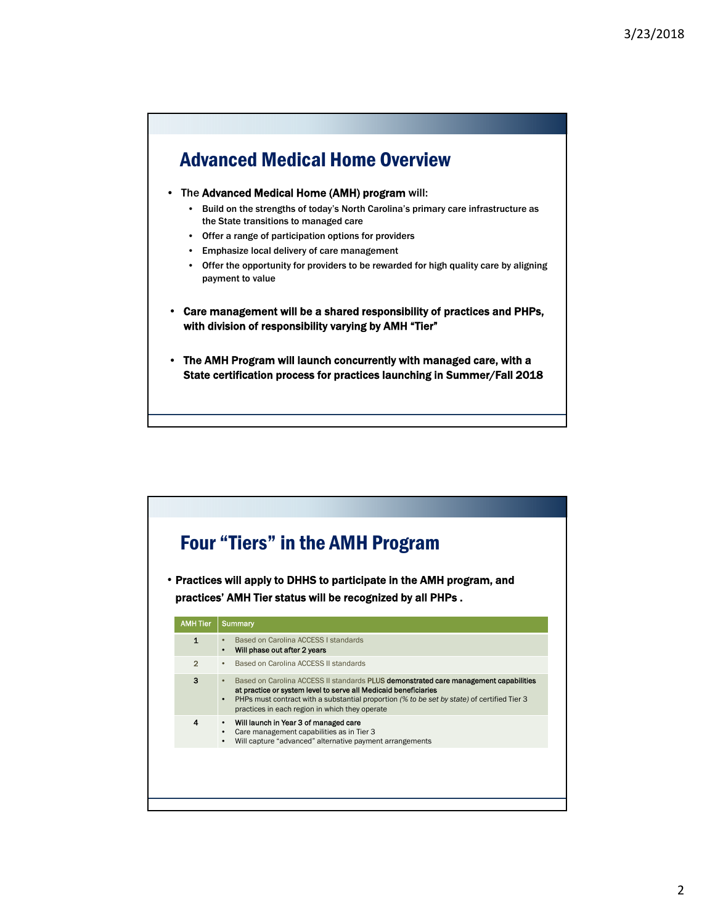## Advanced Medical Home Overview

- The Advanced Medical Home (AMH) program will:
	- Build on the strengths of today's North Carolina's primary care infrastructure as the State transitions to managed care
	- Offer a range of participation options for providers
	- Emphasize local delivery of care management
	- Offer the opportunity for providers to be rewarded for high quality care by aligning payment to value
- Care management will be a shared responsibility of practices and PHPs, with division of responsibility varying by AMH "Tier"
- The AMH Program will launch concurrently with managed care, with a State certification process for practices launching in Summer/Fall 2018

|                 | • Practices will apply to DHHS to participate in the AMH program, and<br>practices' AMH Tier status will be recognized by all PHPs.                                                                                                                                                                                                       |
|-----------------|-------------------------------------------------------------------------------------------------------------------------------------------------------------------------------------------------------------------------------------------------------------------------------------------------------------------------------------------|
|                 |                                                                                                                                                                                                                                                                                                                                           |
| <b>AMH Tier</b> | <b>Summary</b>                                                                                                                                                                                                                                                                                                                            |
| $\mathbf{1}$    | Based on Carolina ACCESS I standards<br>$\bullet$<br>Will phase out after 2 years                                                                                                                                                                                                                                                         |
| $\overline{2}$  | Based on Carolina ACCESS II standards                                                                                                                                                                                                                                                                                                     |
| 3               | Based on Carolina ACCESS II standards <b>PLUS demonstrated care management capabilities</b><br>$\bullet$<br>at practice or system level to serve all Medicaid beneficiaries<br>PHPs must contract with a substantial proportion (% to be set by state) of certified Tier 3<br>$\bullet$<br>practices in each region in which they operate |
| 4               | Will launch in Year 3 of managed care<br>$\bullet$<br>Care management capabilities as in Tier 3<br>Will capture "advanced" alternative payment arrangements                                                                                                                                                                               |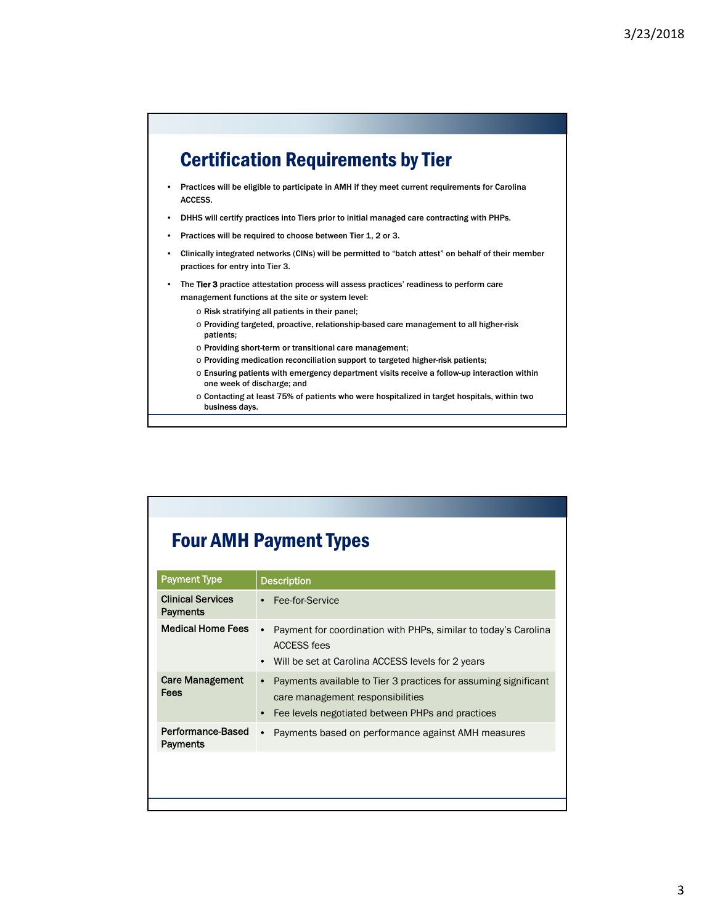## Certification Requirements by Tier

- Practices will be eligible to participate in AMH if they meet current requirements for Carolina ACCESS.
- DHHS will certify practices into Tiers prior to initial managed care contracting with PHPs.
- Practices will be required to choose between Tier 1, 2 or 3.
- Clinically integrated networks (CINs) will be permitted to "batch attest" on behalf of their member practices for entry into Tier 3.
- The Tier 3 practice attestation process will assess practices' readiness to perform care management functions at the site or system level:
	- o Risk stratifying all patients in their panel;
	- o Providing targeted, proactive, relationship-based care management to all higher-risk patients;
	- o Providing short-term or transitional care management;
	- o Providing medication reconciliation support to targeted higher-risk patients;
	- o Ensuring patients with emergency department visits receive a follow-up interaction within one week of discharge; and
	- o Contacting at least 75% of patients who were hospitalized in target hospitals, within two business days.

| <b>Payment Type</b>                  | <b>Description</b>                                                                                                                                                   |
|--------------------------------------|----------------------------------------------------------------------------------------------------------------------------------------------------------------------|
| <b>Clinical Services</b><br>Payments | Fee-for-Service                                                                                                                                                      |
| <b>Medical Home Fees</b>             | Payment for coordination with PHPs, similar to today's Carolina<br>$\bullet$<br><b>ACCESS fees</b><br>Will be set at Carolina ACCESS levels for 2 years              |
| <b>Care Management</b><br>Fees       | Payments available to Tier 3 practices for assuming significant<br>care management responsibilities<br>Fee levels negotiated between PHPs and practices<br>$\bullet$ |
| Performance-Based<br>Payments        | Payments based on performance against AMH measures<br>$\bullet$                                                                                                      |
|                                      |                                                                                                                                                                      |
|                                      |                                                                                                                                                                      |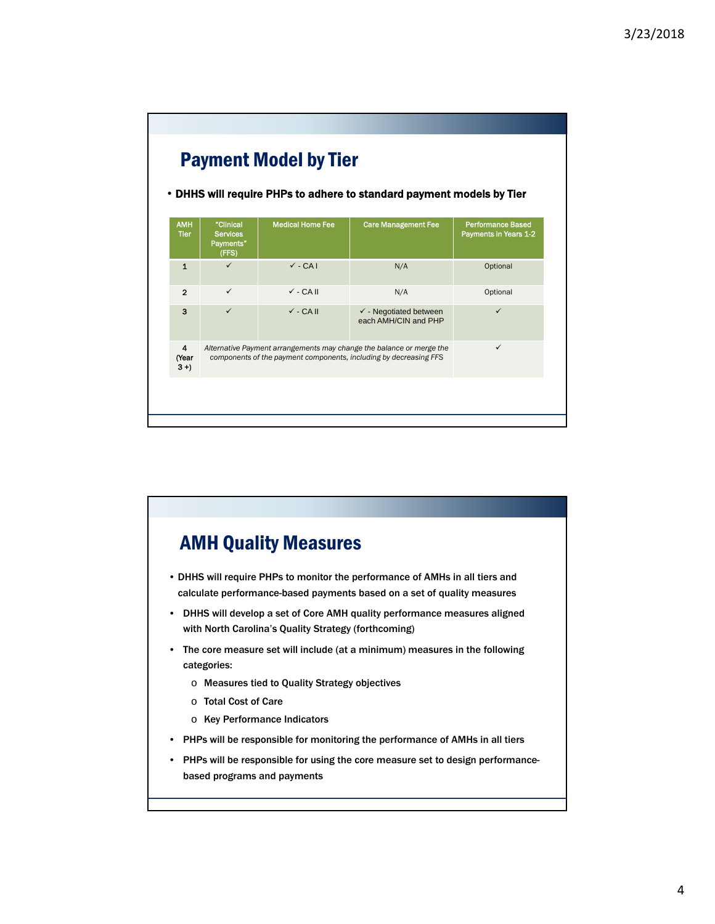

## AMH Quality Measures • DHHS will require PHPs to monitor the performance of AMHs in all tiers and calculate performance-based payments based on a set of quality measures • DHHS will develop a set of Core AMH quality performance measures aligned with North Carolina's Quality Strategy (forthcoming) • The core measure set will include (at a minimum) measures in the following categories: o Measures tied to Quality Strategy objectives o Total Cost of Care o Key Performance Indicators • PHPs will be responsible for monitoring the performance of AMHs in all tiers

• PHPs will be responsible for using the core measure set to design performancebased programs and payments